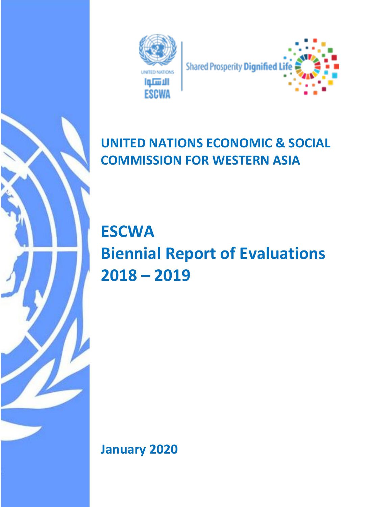

# **UNITED NATIONS ECONOMIC & SOCIAL COMMISSION FOR WESTERN ASIA**

**ESCWA Biennial Report of Evaluations 2018 – 2019**

**January 2020**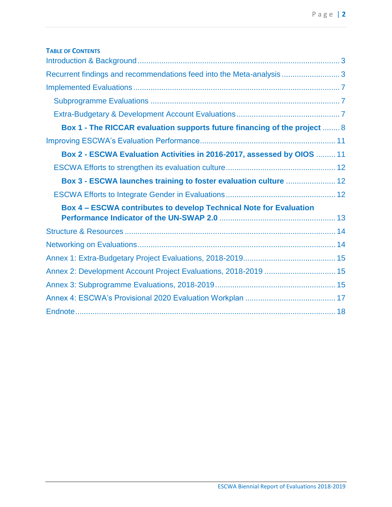| <b>TABLE OF CONTENTS</b>                                                  |  |
|---------------------------------------------------------------------------|--|
|                                                                           |  |
| Recurrent findings and recommendations feed into the Meta-analysis3       |  |
|                                                                           |  |
|                                                                           |  |
|                                                                           |  |
| Box 1 - The RICCAR evaluation supports future financing of the project  8 |  |
|                                                                           |  |
| Box 2 - ESCWA Evaluation Activities in 2016-2017, assessed by OIOS  11    |  |
|                                                                           |  |
| Box 3 - ESCWA launches training to foster evaluation culture  12          |  |
|                                                                           |  |
| <b>Box 4 - ESCWA contributes to develop Technical Note for Evaluation</b> |  |
|                                                                           |  |
|                                                                           |  |
|                                                                           |  |
|                                                                           |  |
| Annex 2: Development Account Project Evaluations, 2018-2019  15           |  |
|                                                                           |  |
|                                                                           |  |
|                                                                           |  |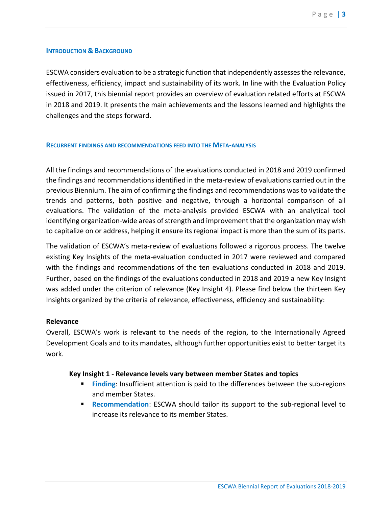#### <span id="page-2-0"></span>**INTRODUCTION & BACKGROUND**

ESCWA considers evaluation to be a strategic function that independently assesses the relevance, effectiveness, efficiency, impact and sustainability of its work. In line with the Evaluation Policy issued in 2017, this biennial report provides an overview of evaluation related efforts at ESCWA in 2018 and 2019. It presents the main achievements and the lessons learned and highlights the challenges and the steps forward.

#### <span id="page-2-1"></span>**RECURRENT FINDINGS AND RECOMMENDATIONS FEED INTO THE META-ANALYSIS**

All the findings and recommendations of the evaluations conducted in 2018 and 2019 confirmed the findings and recommendations identified in the meta-review of evaluations carried out in the previous Biennium. The aim of confirming the findings and recommendations was to validate the trends and patterns, both positive and negative, through a horizontal comparison of all evaluations. The validation of the meta-analysis provided ESCWA with an analytical tool identifying organization-wide areas of strength and improvement that the organization may wish to capitalize on or address, helping it ensure its regional impact is more than the sum of its parts.

The validation of ESCWA's meta-review of evaluations followed a rigorous process. The twelve existing Key Insights of the meta-evaluation conducted in 2017 were reviewed and compared with the findings and recommendations of the ten evaluations conducted in 2018 and 2019. Further, based on the findings of the evaluations conducted in 2018 and 2019 a new Key Insight was added under the criterion of relevance (Key Insight 4). Please find below the thirteen Key Insights organized by the criteria of relevance, effectiveness, efficiency and sustainability:

#### **Relevance**

Overall, ESCWA's work is relevant to the needs of the region, to the Internationally Agreed Development Goals and to its mandates, although further opportunities exist to better target its work.

#### **Key Insight 1 - Relevance levels vary between member States and topics**

- **Finding:** Insufficient attention is paid to the differences between the sub-regions and member States.
- **Recommendation: ESCWA should tailor its support to the sub-regional level to** increase its relevance to its member States.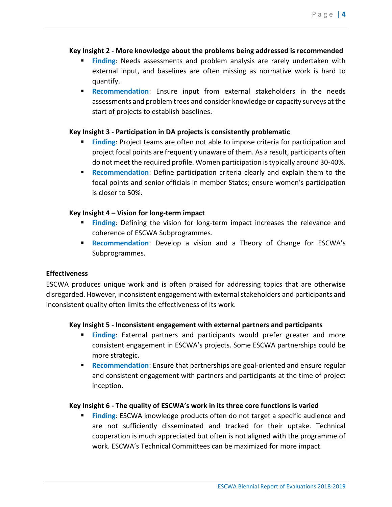## **Key Insight 2 - More knowledge about the problems being addressed is recommended**

- **Finding:** Needs assessments and problem analysis are rarely undertaken with external input, and baselines are often missing as normative work is hard to quantify.
- **Recommendation:** Ensure input from external stakeholders in the needs assessments and problem trees and consider knowledge or capacity surveys at the start of projects to establish baselines.

## **Key Insight 3 - Participation in DA projects is consistently problematic**

- **Finding: Project teams are often not able to impose criteria for participation and** project focal points are frequently unaware of them. As a result, participants often do not meet the required profile. Women participation is typically around 30-40%.
- **EXECOMMENT RECOMMENT CONTER 12 DEFINE PARTICIPATION** Criteria clearly and explain them to the focal points and senior officials in member States; ensure women's participation is closer to 50%.

## **Key Insight 4 – Vision for long-term impact**

- **Finding:** Defining the vision for long-term impact increases the relevance and coherence of ESCWA Subprogrammes.
- **Recommendation**: Develop a vision and a Theory of Change for ESCWA's Subprogrammes.

## **Effectiveness**

ESCWA produces unique work and is often praised for addressing topics that are otherwise disregarded. However, inconsistent engagement with external stakeholders and participants and inconsistent quality often limits the effectiveness of its work.

## **Key Insight 5 - Inconsistent engagement with external partners and participants**

- **Einding:** External partners and participants would prefer greater and more consistent engagement in ESCWA's projects. Some ESCWA partnerships could be more strategic.
- **EXECOMMENT AT A RECOMMENT CONTROLLY A RECOMMENT A RECOMMENT PROPERTY RECOMMENT PROPERTY RECOMMENT PROPERTY RECOMMENT PROPERTY RECOMMENT PROPERTY <b>RECOMMENT RECOMMENT RECOMMENT RECOMMENT RECOMMENT RECOMMENT REC** and consistent engagement with partners and participants at the time of project inception.

## **Key Insight 6 - The quality of ESCWA's work in its three core functions is varied**

**Finding: ESCWA knowledge products often do not target a specific audience and** are not sufficiently disseminated and tracked for their uptake. Technical cooperation is much appreciated but often is not aligned with the programme of work. ESCWA's Technical Committees can be maximized for more impact.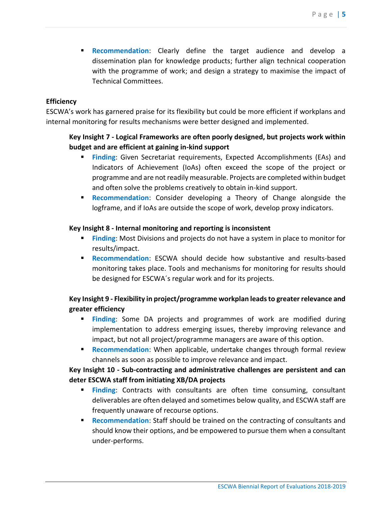▪ **Recommendation**: Clearly define the target audience and develop a dissemination plan for knowledge products; further align technical cooperation with the programme of work; and design a strategy to maximise the impact of Technical Committees.

## **Efficiency**

ESCWA's work has garnered praise for its flexibility but could be more efficient if workplans and internal monitoring for results mechanisms were better designed and implemented.

# **Key Insight 7 - Logical Frameworks are often poorly designed, but projects work within budget and are efficient at gaining in-kind support**

- **Finding: Given Secretariat requirements, Expected Accomplishments (EAs) and** Indicators of Achievement (IoAs) often exceed the scope of the project or programme and are not readily measurable. Projects are completed within budget and often solve the problems creatively to obtain in-kind support.
- **Recommendation**: Consider developing a Theory of Change alongside the logframe, and if IoAs are outside the scope of work, develop proxy indicators.

## **Key Insight 8 - Internal monitoring and reporting is inconsistent**

- **Einding:** Most Divisions and projects do not have a system in place to monitor for results/impact.
- **Recommendation**: ESCWA should decide how substantive and results-based monitoring takes place. Tools and mechanisms for monitoring for results should be designed for ESCWA´s regular work and for its projects.

# **Key Insight 9 - Flexibility in project/programme workplan leads to greater relevance and greater efficiency**

- **Einding:** Some DA projects and programmes of work are modified during implementation to address emerging issues, thereby improving relevance and impact, but not all project/programme managers are aware of this option.
- **EXECOMMENT AT A Recommendation:** When applicable, undertake changes through formal review channels as soon as possible to improve relevance and impact.

# **Key Insight 10 - Sub-contracting and administrative challenges are persistent and can deter ESCWA staff from initiating XB/DA projects**

- **Einding:** Contracts with consultants are often time consuming, consultant deliverables are often delayed and sometimes below quality, and ESCWA staff are frequently unaware of recourse options.
- **Recommendation**: Staff should be trained on the contracting of consultants and should know their options, and be empowered to pursue them when a consultant under-performs.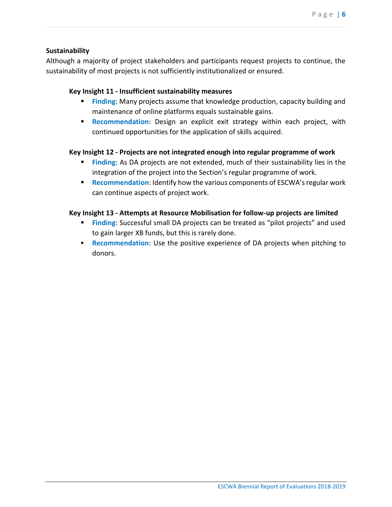## **Sustainability**

Although a majority of project stakeholders and participants request projects to continue, the sustainability of most projects is not sufficiently institutionalized or ensured.

## **Key Insight 11 - Insufficient sustainability measures**

- **Einding:** Many projects assume that knowledge production, capacity building and maintenance of online platforms equals sustainable gains.
- **Recommendation:** Design an explicit exit strategy within each project, with continued opportunities for the application of skills acquired.

## **Key Insight 12 - Projects are not integrated enough into regular programme of work**

- **Finding:** As DA projects are not extended, much of their sustainability lies in the integration of the project into the Section's regular programme of work.
- **Recommendation**: Identify how the various components of ESCWA's regular work can continue aspects of project work.

## **Key Insight 13 - Attempts at Resource Mobilisation for follow-up projects are limited**

- **Finding:** Successful small DA projects can be treated as "pilot projects" and used to gain larger XB funds, but this is rarely done.
- **Recommendation:** Use the positive experience of DA projects when pitching to donors.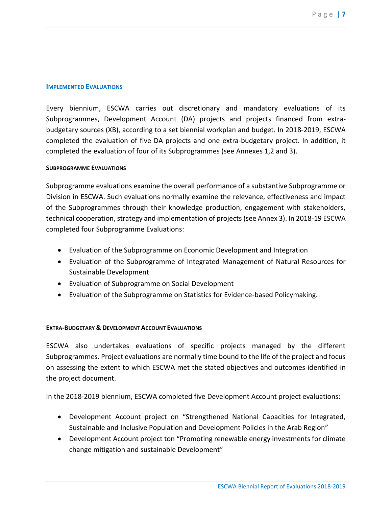#### <span id="page-6-0"></span>**IMPLEMENTED EVALUATIONS**

Every biennium, ESCWA carries out discretionary and mandatory evaluations of its Subprogrammes, Development Account (DA) projects and projects financed from extrabudgetary sources (XB), according to a set biennial workplan and budget. In 2018-2019, ESCWA completed the evaluation of five DA projects and one extra-budgetary project. In addition, it completed the evaluation of four of its Subprogrammes (see Annexes 1,2 and 3).

#### <span id="page-6-1"></span>**SUBPROGRAMME EVALUATIONS**

Subprogramme evaluations examine the overall performance of a substantive Subprogramme or Division in ESCWA. Such evaluations normally examine the relevance, effectiveness and impact of the Subprogrammes through their knowledge production, engagement with stakeholders, technical cooperation, strategy and implementation of projects (see Annex 3). In 2018-19 ESCWA completed four Subprogramme Evaluations:

- Evaluation of the Subprogramme on Economic Development and Integration
- Evaluation of the Subprogramme of Integrated Management of Natural Resources for Sustainable Development
- Evaluation of Subprogramme on Social Development
- Evaluation of the Subprogramme on Statistics for Evidence-based Policymaking.

#### <span id="page-6-2"></span>**EXTRA-BUDGETARY & DEVELOPMENT ACCOUNT EVALUATIONS**

ESCWA also undertakes evaluations of specific projects managed by the different Subprogrammes. Project evaluations are normally time bound to the life of the project and focus on assessing the extent to which ESCWA met the stated objectives and outcomes identified in the project document.

In the 2018-2019 biennium, ESCWA completed five Development Account project evaluations:

- Development Account project on "Strengthened National Capacities for Integrated, Sustainable and Inclusive Population and Development Policies in the Arab Region"
- Development Account project ton "Promoting renewable energy investments for climate change mitigation and sustainable Development"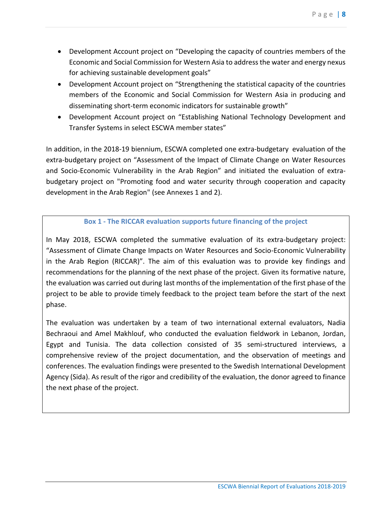- Development Account project on "Developing the capacity of countries members of the Economic and Social Commission for Western Asia to address the water and energy nexus for achieving sustainable development goals"
- Development Account project on "Strengthening the statistical capacity of the countries members of the Economic and Social Commission for Western Asia in producing and disseminating short-term economic indicators for sustainable growth"
- Development Account project on "Establishing National Technology Development and Transfer Systems in select ESCWA member states"

In addition, in the 2018-19 biennium, ESCWA completed one extra-budgetary evaluation of the extra-budgetary project on "Assessment of the Impact of Climate Change on Water Resources and Socio-Economic Vulnerability in the Arab Region" and initiated the evaluation of extrabudgetary project on "Promoting food and water security through cooperation and capacity development in the Arab Region" (see Annexes 1 and 2).

# **Box 1 - The RICCAR evaluation supports future financing of the project**

<span id="page-7-0"></span>In May 2018, ESCWA completed the summative evaluation of its extra-budgetary project: "Assessment of Climate Change Impacts on Water Resources and Socio-Economic Vulnerability in the Arab Region (RICCAR)". The aim of this evaluation was to provide key findings and recommendations for the planning of the next phase of the project. Given its formative nature, the evaluation was carried out during last months of the implementation of the first phase of the project to be able to provide timely feedback to the project team before the start of the next phase.

The evaluation was undertaken by a team of two international external evaluators, Nadia Bechraoui and Amel Makhlouf, who conducted the evaluation fieldwork in Lebanon, Jordan, Egypt and Tunisia. The data collection consisted of 35 semi-structured interviews, a comprehensive review of the project documentation, and the observation of meetings and conferences. The evaluation findings were presented to the Swedish International Development Agency (Sida). As result of the rigor and credibility of the evaluation, the donor agreed to finance the next phase of the project.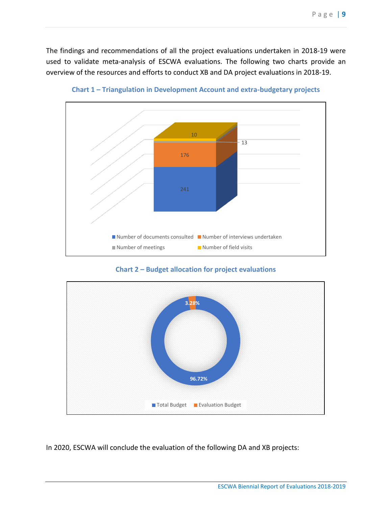The findings and recommendations of all the project evaluations undertaken in 2018-19 were used to validate meta-analysis of ESCWA evaluations. The following two charts provide an overview of the resources and efforts to conduct XB and DA project evaluations in 2018-19.



**Chart 1 – Triangulation in Development Account and extra-budgetary projects**

**Chart 2 – Budget allocation for project evaluations** 



In 2020, ESCWA will conclude the evaluation of the following DA and XB projects: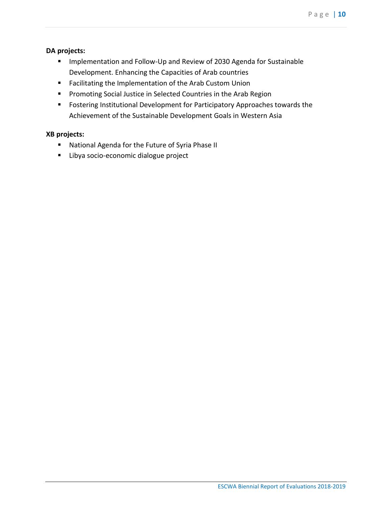## **DA projects:**

- Implementation and Follow-Up and Review of 2030 Agenda for Sustainable Development. Enhancing the Capacities of Arab countries
- Facilitating the Implementation of the Arab Custom Union
- **•** Promoting Social Justice in Selected Countries in the Arab Region
- Fostering Institutional Development for Participatory Approaches towards the Achievement of the Sustainable Development Goals in Western Asia

### **XB projects:**

- National Agenda for the Future of Syria Phase II
- Libya socio-economic dialogue project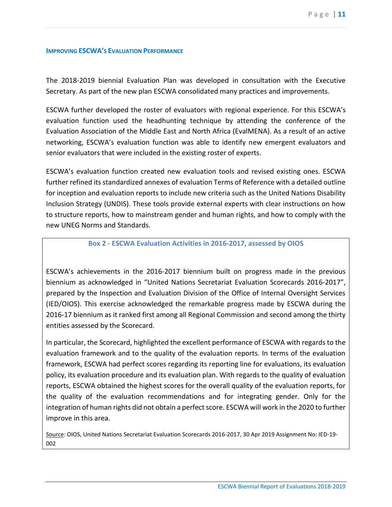#### <span id="page-10-0"></span>**IMPROVING ESCWA'S EVALUATION PERFORMANCE**

The 2018-2019 biennial Evaluation Plan was developed in consultation with the Executive Secretary. As part of the new plan ESCWA consolidated many practices and improvements.

ESCWA further developed the roster of evaluators with regional experience. For this ESCWA's evaluation function used the headhunting technique by attending the conference of the Evaluation Association of the Middle East and North Africa (EvalMENA). As a result of an active networking, ESCWA's evaluation function was able to identify new emergent evaluators and senior evaluators that were included in the existing roster of experts.

ESCWA's evaluation function created new evaluation tools and revised existing ones. ESCWA further refined its standardized annexes of evaluation Terms of Reference with a detailed outline for inception and evaluation reports to include new criteria such as the United Nations Disability Inclusion Strategy (UNDIS). These tools provide external experts with clear instructions on how to structure reports, how to mainstream gender and human rights, and how to comply with the new UNEG Norms and Standards.

#### **Box 2 - ESCWA Evaluation Activities in 2016-2017, assessed by OIOS**

<span id="page-10-1"></span>ESCWA's achievements in the 2016-2017 biennium built on progress made in the previous biennium as acknowledged in "United Nations Secretariat Evaluation Scorecards 2016-2017", prepared by the Inspection and Evaluation Division of the Office of Internal Oversight Services (IED/OIOS). This exercise acknowledged the remarkable progress made by ESCWA during the 2016-17 biennium as it ranked first among all Regional Commission and second among the thirty entities assessed by the Scorecard.

In particular, the Scorecard, highlighted the excellent performance of ESCWA with regards to the evaluation framework and to the quality of the evaluation reports. In terms of the evaluation framework, ESCWA had perfect scores regarding its reporting line for evaluations, its evaluation policy, its evaluation procedure and its evaluation plan. With regards to the quality of evaluation reports, ESCWA obtained the highest scores for the overall quality of the evaluation reports, for the quality of the evaluation recommendations and for integrating gender. Only for the integration of human rights did not obtain a perfect score. ESCWA will work in the 2020 to further improve in this area.

Source: OIOS, United Nations Secretariat Evaluation Scorecards 2016-2017, 30 Apr 2019 Assignment No: IED-19- 002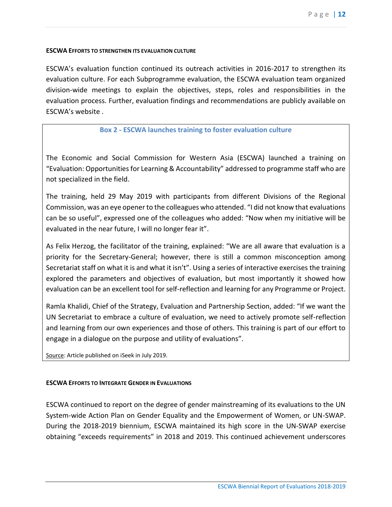#### <span id="page-11-0"></span>**ESCWA EFFORTS TO STRENGTHEN ITS EVALUATION CULTURE**

ESCWA's evaluation function continued its outreach activities in 2016-2017 to strengthen its evaluation culture. For each Subprogramme evaluation, the ESCWA evaluation team organized division-wide meetings to explain the objectives, steps, roles and responsibilities in the evaluation process. Further, evaluation findings and recommendations are publicly available on ESCWA's website .

### **Box 2 - ESCWA launches training to foster evaluation culture**

<span id="page-11-1"></span>The Economic and Social Commission for Western Asia (ESCWA) launched a training on "Evaluation: Opportunities for Learning & Accountability" addressed to programme staff who are not specialized in the field.

The training, held 29 May 2019 with participants from different Divisions of the Regional Commission, was an eye opener to the colleagues who attended. "I did not know that evaluations can be so useful", expressed one of the colleagues who added: "Now when my initiative will be evaluated in the near future, I will no longer fear it".

As Felix Herzog, the facilitator of the training, explained: "We are all aware that evaluation is a priority for the Secretary-General; however, there is still a common misconception among Secretariat staff on what it is and what it isn't". Using a series of interactive exercises the training explored the parameters and objectives of evaluation, but most importantly it showed how evaluation can be an excellent tool for self-reflection and learning for any Programme or Project.

Ramla Khalidi, Chief of the Strategy, Evaluation and Partnership Section, added: "If we want the UN Secretariat to embrace a culture of evaluation, we need to actively promote self-reflection and learning from our own experiences and those of others. This training is part of our effort to engage in a dialogue on the purpose and utility of evaluations".

Source: Article published on iSeek in July 2019.

#### <span id="page-11-2"></span>**ESCWA EFFORTS TO INTEGRATE GENDER IN EVALUATIONS**

ESCWA continued to report on the degree of gender mainstreaming of its evaluations to the UN System-wide Action Plan on Gender Equality and the Empowerment of Women, or UN-SWAP. During the 2018-2019 biennium, ESCWA maintained its high score in the UN-SWAP exercise obtaining "exceeds requirements" in 2018 and 2019. This continued achievement underscores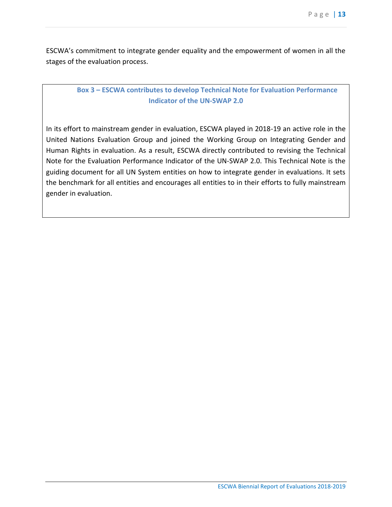ESCWA's commitment to integrate gender equality and the empowerment of women in all the stages of the evaluation process.

# <span id="page-12-0"></span>**Box 3 – ESCWA contributes to develop Technical Note for Evaluation Performance Indicator of the UN-SWAP 2.0**

In its effort to mainstream gender in evaluation, ESCWA played in 2018-19 an active role in the United Nations Evaluation Group and joined the Working Group on Integrating Gender and Human Rights in evaluation. As a result, ESCWA directly contributed to revising the Technical Note for the Evaluation Performance Indicator of the UN-SWAP 2.0. This Technical Note is the guiding document for all UN System entities on how to integrate gender in evaluations. It sets the benchmark for all entities and encourages all entities to in their efforts to fully mainstream gender in evaluation.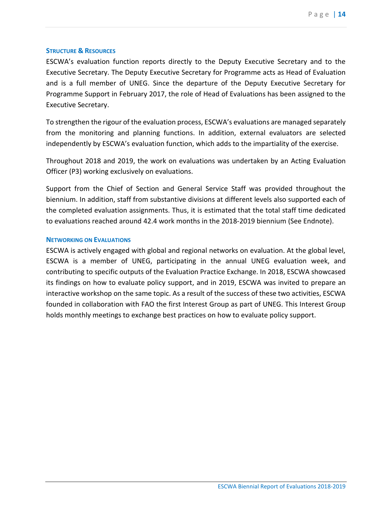#### <span id="page-13-0"></span>**STRUCTURE & RESOURCES**

ESCWA's evaluation function reports directly to the Deputy Executive Secretary and to the Executive Secretary. The Deputy Executive Secretary for Programme acts as Head of Evaluation and is a full member of UNEG. Since the departure of the Deputy Executive Secretary for Programme Support in February 2017, the role of Head of Evaluations has been assigned to the Executive Secretary.

To strengthen the rigour of the evaluation process, ESCWA's evaluations are managed separately from the monitoring and planning functions. In addition, external evaluators are selected independently by ESCWA's evaluation function, which adds to the impartiality of the exercise.

Throughout 2018 and 2019, the work on evaluations was undertaken by an Acting Evaluation Officer (P3) working exclusively on evaluations.

Support from the Chief of Section and General Service Staff was provided throughout the biennium. In addition, staff from substantive divisions at different levels also supported each of the completed evaluation assignments. Thus, it is estimated that the total staff time dedicated to evaluations reached around 42.4 work months in the 2018-2019 biennium (See Endnote).

#### <span id="page-13-1"></span>**NETWORKING ON EVALUATIONS**

ESCWA is actively engaged with global and regional networks on evaluation. At the global level, ESCWA is a member of UNEG, participating in the annual UNEG evaluation week, and contributing to specific outputs of the Evaluation Practice Exchange. In 2018, ESCWA showcased its findings on how to evaluate policy support, and in 2019, ESCWA was invited to prepare an interactive workshop on the same topic. As a result of the success of these two activities, ESCWA founded in collaboration with FAO the first Interest Group as part of UNEG. This Interest Group holds monthly meetings to exchange best practices on how to evaluate policy support.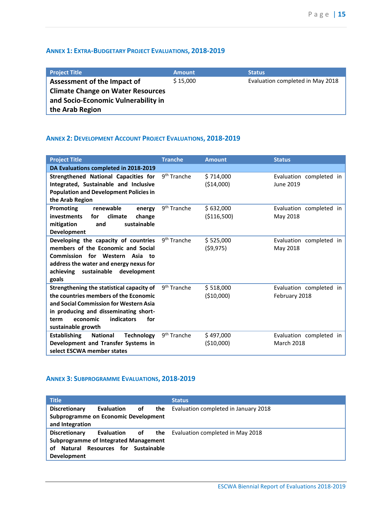# <span id="page-14-0"></span>**ANNEX 1: EXTRA-BUDGETARY PROJECT EVALUATIONS, 2018-2019**

| <b>Project Title</b>                                                            | <b>Amount</b> | <b>Status</b>                    |
|---------------------------------------------------------------------------------|---------------|----------------------------------|
| Assessment of the Impact of                                                     | \$15,000      | Evaluation completed in May 2018 |
| <b>Climate Change on Water Resources</b><br>and Socio-Economic Vulnerability in |               |                                  |
| the Arab Region                                                                 |               |                                  |

# <span id="page-14-1"></span>**ANNEX 2: DEVELOPMENT ACCOUNT PROJECT EVALUATIONS, 2018-2019**

| <b>Project Title</b>                                                                                                                                                                                                                 | <b>Tranche</b>          | <b>Amount</b>             | <b>Status</b>                                |
|--------------------------------------------------------------------------------------------------------------------------------------------------------------------------------------------------------------------------------------|-------------------------|---------------------------|----------------------------------------------|
| DA Evaluations completed in 2018-2019                                                                                                                                                                                                |                         |                           |                                              |
| Strengthened National Capacities for<br>Integrated, Sustainable and Inclusive<br><b>Population and Development Policies in</b><br>the Arab Region                                                                                    | 9 <sup>th</sup> Tranche | \$714,000<br>( \$14,000)  | Evaluation completed in<br>June 2019         |
| <b>Promoting</b><br>renewable<br>energy<br><b>investments</b><br>climate<br>change<br>for<br>sustainable<br>mitigation<br>and<br>Development                                                                                         | 9 <sup>th</sup> Tranche | \$632,000<br>( \$116,500) | Evaluation completed in<br>May 2018          |
| Developing the capacity of countries<br>members of the Economic and Social<br>Commission for Western Asia to<br>address the water and energy nexus for<br>achieving sustainable<br>development<br>goals                              | 9 <sup>th</sup> Tranche | \$525,000<br>(59, 975)    | Evaluation completed in<br>May 2018          |
| Strengthening the statistical capacity of<br>the countries members of the Economic<br>and Social Commission for Western Asia<br>in producing and disseminating short-<br>indicators<br>economic<br>for<br>term<br>sustainable growth | 9 <sup>th</sup> Tranche | \$518,000<br>(\$10,000)   | Evaluation completed in<br>February 2018     |
| <b>Establishing</b><br><b>National</b><br><b>Technology</b><br>Development and Transfer Systems in<br>select ESCWA member states                                                                                                     | 9 <sup>th</sup> Tranche | \$497,000<br>( \$10,000)  | Evaluation completed in<br><b>March 2018</b> |

# <span id="page-14-2"></span>**ANNEX 3: SUBPROGRAMME EVALUATIONS, 2018-2019**

| <b>Title</b>                                            |            |    |     | <b>Status</b>                               |
|---------------------------------------------------------|------------|----|-----|---------------------------------------------|
| <b>Discretionary</b>                                    | Evaluation | of | the | Evaluation completed in January 2018        |
| Subprogramme on Economic Development<br>and Integration |            |    |     |                                             |
| <b>Discretionary</b>                                    | Evaluation | of |     | <b>the</b> Evaluation completed in May 2018 |
| <b>Subprogramme of Integrated Management</b>            |            |    |     |                                             |
| Resources for Sustainable<br>Natural<br>οf              |            |    |     |                                             |
| <b>Development</b>                                      |            |    |     |                                             |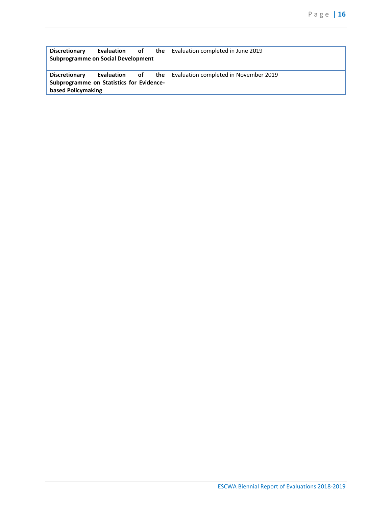**Discretionary Evaluation of Subprogramme on Social Development**  the Evaluation completed in June 2019 **Discretionary Evaluation of Subprogramme on Statistics for Evidencebased Policymaking** the Evaluation completed in November 2019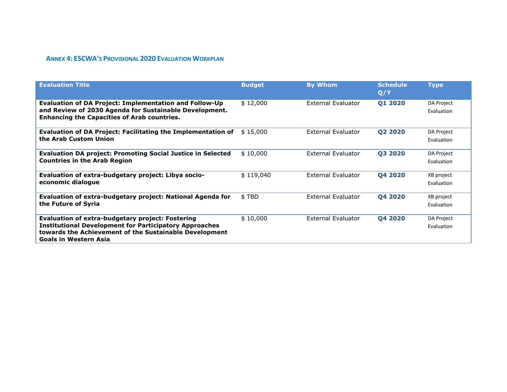# **ANNEX 4: ESCWA'S PROVISIONAL 2020 EVALUATION WORKPLAN**

<span id="page-16-0"></span>

| <b>Evaluation Title</b>                                                                                                                                                                              | <b>Budget</b> | <b>By Whom</b>            | <b>Schedule</b><br>Q/Y | <b>Type</b>              |
|------------------------------------------------------------------------------------------------------------------------------------------------------------------------------------------------------|---------------|---------------------------|------------------------|--------------------------|
| <b>Evaluation of DA Project: Implementation and Follow-Up</b><br>and Review of 2030 Agenda for Sustainable Development.<br><b>Enhancing the Capacities of Arab countries.</b>                        | \$12,000      | External Evaluator        | Q1 2020                | DA Project<br>Evaluation |
| Evaluation of DA Project: Facilitating the Implementation of<br>the Arab Custom Union                                                                                                                | \$15,000      | External Evaluator        | Q2 2020                | DA Project<br>Evaluation |
| <b>Evaluation DA project: Promoting Social Justice in Selected</b><br><b>Countries in the Arab Region</b>                                                                                            | \$10,000      | <b>External Evaluator</b> | Q3 2020                | DA Project<br>Evaluation |
| Evaluation of extra-budgetary project: Libya socio-<br>economic dialogue                                                                                                                             | \$119,040     | <b>External Evaluator</b> | 04 2020                | XB project<br>Evaluation |
| Evaluation of extra-budgetary project: National Agenda for<br>the Future of Syria                                                                                                                    | \$TBD         | <b>External Evaluator</b> | Q4 2020                | XB project<br>Evaluation |
| Evaluation of extra-budgetary project: Fostering<br><b>Institutional Development for Participatory Approaches</b><br>towards the Achievement of the Sustainable Development<br>Goals in Western Asia | \$10,000      | External Evaluator        | Q4 2020                | DA Project<br>Evaluation |